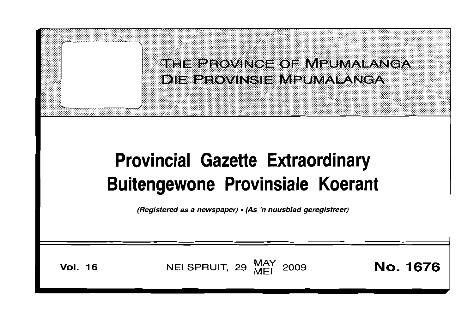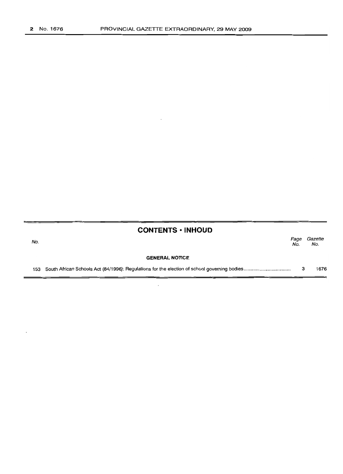# **CONTENTS • INHOUD**

| No. |                       | Page<br>No. | Gazette<br>No. |
|-----|-----------------------|-------------|----------------|
|     | <b>GENERAL NOTICE</b> |             |                |
|     |                       |             | 1676           |

 $\overline{\phantom{a}}$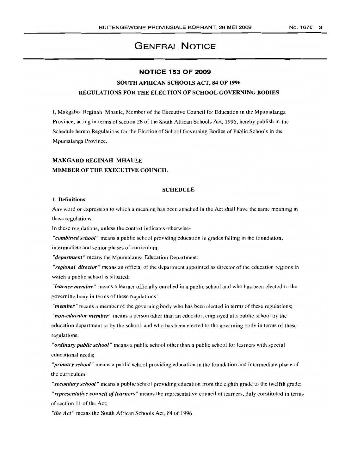## No. 1676 3

# **GENERAL NOTICE**

# **NOTICE 153 OF 2009**

# SOUTH AFRICAN SCHOOLS ACT, 84 OF 1996 REGUlATIONS FOR THE ELECTION OF SCHOOL GOVERNING BODIES

I, Makgabo Reginah Mhaule, Member of the Executive Council for Education in the Mpumalanga Province, acting in terms of section 28 of the South African Schools Act, 1996, hereby publish in the Schedule hereto Regulations for the Election of School Governing Bodies of Public Schools in the Mpumalanga Province.

# MAKGABO REGINAH MHAULE MEMBER OF THE EXECUTIVE COUNCIL

# **SCHEDULE**

## 1. Definitions

Any word or expression to which a meaning has been attached in the Act shall have the same meaning in these regulations.

In these regulations, unless the context indicates otherwise-

*"combined school"* means a public school providing education in grades falling in the foundation,

intermediate and senior phases of curriculum;

*"department"* means the Mpumalanga Education Department;

*"regional director"* means an official of the department appointed as director of the education regions in which a public school is situated;

*"learner member"* means a learner officially enrolled in a public school and who has been elected to the governing body in terms of these regulations"

*"member"* means a member of the governing body who has been elected in terms of these regulations;

*"non-educator member"* means a person other than an educator, employed at a public school by the education department or by the school, and who has been elected to the governing body in terms of these regulations;

*"ordinary public school"* means a public school other than a public school for learners with special educational needs;

*"primary school"* means a public school providing education in the foundation and intermediate phase of the curriculum;

*"secondary school"* means a public school providing education from the eighth grade to the twelfth grade; *"representative council of learners"* means the representative council of learners, duly constituted in terms of section 11 of the Act;

*"the Act"* means the South African Schools Act, 84 of 1996.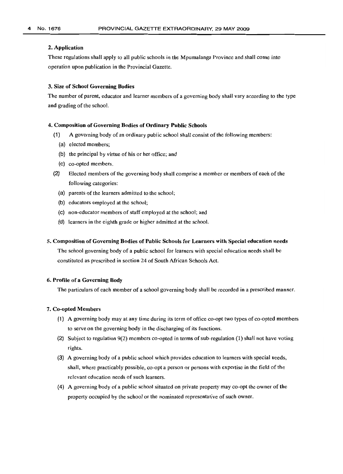## 2. Application

These regulations shall apply to all public schools in the Mpumalanga Province and shall come into operation upon publication in the Provincial Gazette.

## 3. Size of School Governing Bodies

The number of parent, educator and learner members of a governing body shall vary according to the type and grading of the school.

## 4. Composition of Governing Bodies of Ordinary Public Schools

- (1) A governing body of an ordinary public school shall consist of the following members:
	- (a) elected members;
	- (b) the principal by virtue of his or her office; and
	- (c) co-opted members.
- (2) Elected members of the governing body shall comprise a member or members of each of the following categories:
	- (a) parents of the learners admitted to the school;
	- (b) educators employed at the school;
	- (c) non-educator members of staff employed at the school; and
	- (d) learners in the eighth grade or higher admitted at the school.

# s. Composition of Governing Bodies of Public Schools for Learners with Special education needs

The school governing body of a public school for learners with special education needs shall be constituted as prescribed in section 24 of South African Schools Act.

# 6. Profile of a Governing Body

The particulars of each member of a school governing body shall be recorded in a prescribed manner.

## 7. Co-opted Members

- (1) A governing body may at any time during its term of office co-opt two types of co-opted members to serve on the governing body in the discharging of its functions.
- (2) Subject to regulation 9(2) members co-opted in terms of sub-regulation (1) shall not have voting rights.
- (3) A governing body of a public school which provides education to learners with special needs, shall, where practicably possible, co-opt a person or persons with expertise in the field of the relevant education needs of such learners.
- (4) A governing body of a public school situated on private property may co-opt the owner of the property occupied by the school or the nominated representative of such owner.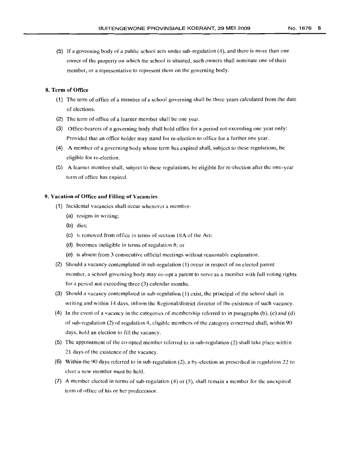- 
- (5) If a governing body of a public school acts under sub-regulation (4), and there is more than one owner of the property on which the school is situated, such owners shall nominate one of their member, or a representative to represent them on the governing body.

# 8. Term of Office

- (1) The term of office of a member of a school governing shall be three years calculated from the date of elections.
- (2) The term of office of a learner member shall be one year.
- (3) Office-bearers of a governing body shall hold office for a period not exceeding one year only: Provided that an office holder may stand for re-election to office for a further one year.
- (4) A member of a governing body whose term has expired shall, subject to these regulations, be eligible for re-election.
- (5) A learner member shall, subject to these regulations, be eligible for re-election after the one-year term of office has expired.

# 9. Vacation of Office and Filling of Vacancies

- (1) Incidental vacancies shall occur whenever a member-
	- (a) resigns in writing;
	- (b) dies;
	- (c) is removed from office in terms of section 18A of the Act:
	- (d) becomes ineligible in terms of regulation 8; or
	- (e) is absent from 3 consecutive official meetings without reasonable explanation.
- (2) Should a vacancy contemplated in sub-regulation (1) occur in respect of an elected parent member, a school governing body may co-opt a parent to serve as a member with full voting rights for a period not exceeding three (3) calendar months.
- (3) Should a vacancy contemplated in sub-regulation (1) exist, the principal of the school shall in writing and within 14 days, inform the Regional/district director of the existence of such vacancy.
- (4) In the event of a vacancy in the categories of membership referred to in paragraphs (b), (c) and (d) of sub-regulation (2) of regulation 4, eligible members of the category concerned shall, within 90 days, hold an election to fill the vacancy.
- (5) The appointment of the co-opted member referred to in sub-regulation (2) shall take place within 21 days of the existence of the vacancy.
- (6) Within the 90 days referred to in sub-regulation (2), a by-election as prescribed in regulation 22 to elect a new member must be held.
- (7) A member elected in terms of sub-regulation (4) or (5), shall remain a member for the unexpired term of office of his or her predecessor.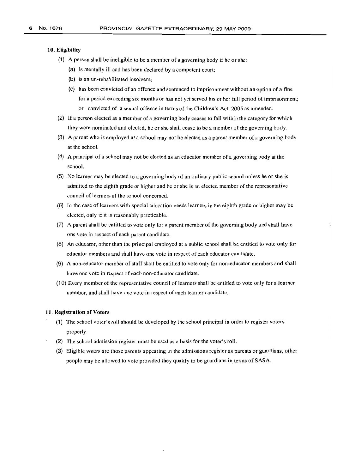### 10. Eligibility

- (1) A person shall be ineligible to be a member of a governing body if he or she;
	- (a) is mentally ill and has been declared by a competent court;
	- (b) is an un-rehabilitated insolvent;
	- (e) has been convicted of an offence and sentenced to imprisonment without an option of a fine for a period exceeding six months or has not yet served his or her full period of imprisonment; or convicted of a sexual offence in terms of the Children's Act 2005 as amended.
- (2) If a person elected as a member of a governing body ceases to fall within the category for which they were nominated and elected, he or she shall cease to be a member of the governing body.
- (3) A parent who is employed at a school may not be elected as a parent member of a governing body at the school.
- (4) A principal of a school may not be elected as an educator member of a governing body at the school.
- (5) No learner may be elected to a governing body of an ordinary public school unless he or she is admitted to the eighth grade or higher and he or she is an elected member of the representative council of learners at the school concerned.
- (6) In the case of learners with special education needs learners in the eighth grade or higher may be elected, only if it is reasonably practicable.
- (7) A parent shall be entitled to vote only for a parent member of the governing body and shall have one vote in respect of each parent candidate.
- (8) An educator, other than the principal employed at a public school shall be entitled to vote only for educator members and shall have one vote in respect of each educator candidate.
- (9) A non-educator member of staff shall be entitled to vote only for non-educator members and shall have one vote in respect of each non-educator candidate.
- (10) Every member of the representative council of learners shall be entitled to vote only for a learner member, and shall have one vote in respect of each learner candidate.

## 11. Registration of Voters

- (1) The school voter's roll should be developed by the school principal in order to register voters properly.
- (2) The school admission register must be used as a basis for the voter's roll.
- (3) Eligible voters are those parents appearing in the admissions register as parents or guardians, other people may be allowed to vote provided they qualify to be guardians in terms of SASA.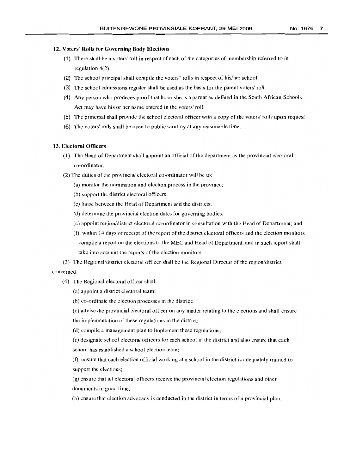# 12. Voters' Rolls for Governing Body Elections

- (1) There shall be a voters' roll in respect of each of the categories of membership referred to in regulation 4(2).
- (2) The school principal shall compile the voters" rolls in respect of his/her school.
- (3) The school admissions register shall be used as the basis for the parent voters' roll.
- (4) Any person who produces proof that he or she is a parent as defined in the South African Schools Act may have his or her name entered in the voters' roll.
- (5) The principal shall provide the school electoral officer with a copy of the voters' rolls upon request
- (6) The voters' rolls shall be open to public scrutiny at any reasonable time.

# 13. Electoral Officers

- (1) The Head of Department shall appoint an official of the department as the provincial electoral co-ordinator.
- (2) The duties of the provincial electoral co-ordinator will be to:
	- (a) monitor the nomination and election process in the province;
	- (b) support the district electoral officers;
	- (c) liaise between the Head of Department and the districts;
	- (d) determine the provincial election dates for governing bodies;
	- (c) appoint region/district electoral co-ordinator in consultation with the Head of Department; and
	- (f) within 14 days of receipt of the report of the district electoral officers and the election monitors compile a report on the elections to the MEC and Head of Department, and in such report shall take into account the reports of the election monitors.
- (3) The Regional/district electoral officer shall be the Regional Director of the region/district concerned.
	- (4) The Regional electoral officer shall:
		- (a) appoint a district electoral team;
		- (b) co-ordinate the election processes in the district;

(c) advise the provincial electoral officer on any matter relating to the elections and shall ensure the implementation of these regulations in the district;

(d) compile a management plan to implement these regulations;

(e) designate school electoral officers for each school in the district and also ensure that each school has established a school election team;

(f) ensure that each election official working at a school in the district is adequately trained to support the elections;

(g) ensure that all electoral officers receive the provincial election regulations and other documents in good time;

(h) ensure that election advocacy is conducted in the district in terms of a provincial plan;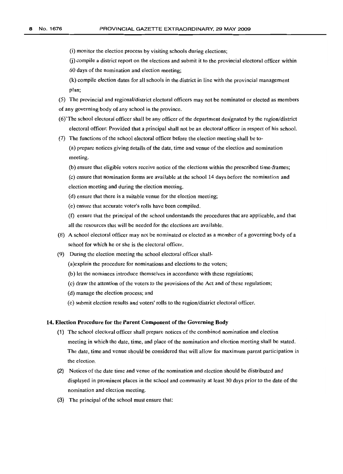(i) monitor the election process by visiting schools during elections;

G) compile a district report on the elections and submit it to the provincial electoral officer within

60 days of the nomination and election meeting;

(k) compile election dates for all schools in the district in line with the provincial management plan;

(5) The provincial and regional/district electoral officers may not be nominated or elected as members of any governing body of any school in the province.

- (6)'The school electoral officer shall be any officer of the department designated by the region/district electoral officer: Provided that a principal shall not be an electoral officer in respect of his school.
- (7) The functions of the school electoral officer before the election meeting shall be to- (a) prepare notices giving details of the date, time and venue of the election and nomination meeting.
	- (b) ensure that eligible voters receive notice of the elections within the prescribed time-frames;

(c) ensure that nomination forms are available at the school 14 days before the nomination and election meeting and during the election meeting.

- (d) ensure that there is a suitable venue for the election meeting;
- (e) ensure that accurate voter's rolls have been compiled.

(f) ensure that the principal of the school understands the procedures that are applicable, and that all the resources that will be needed for the elections are available.

- (8) A school electoral officer may not be nominated or elected as a member of a governing body of a school for which he or she is the electoral officer.
- (9) During the election meeting the school electoral officer shall-

(a)explain the procedure for nominations and elections to the voters;

- (b) let the nominees introduce themselves in accordance with these regulations;
- (c) draw the attention of the voters to the provisions of the Act and of these regulations;
- (d) manage the election process; and
- (e) submit election results and voters' rolls to the region/district electoral officer.

#### 14. Election Procedure for the Parent Component of the Governing Body

- (1) The school electoral officer shall prepare notices of the combined nomination and election meeting in which the date, time, and place of the nomination and election meeting shall be stated. The date, time and venue should be considered that will allow for maximum parent participation in the election.
- (2) Notices of the date time and venue of the nomination and election should be distributed and displayed in prominent places in the school and community at least 30 days prior to the date of the nomination and election meeting.
- (3) The principal of the school must ensure that: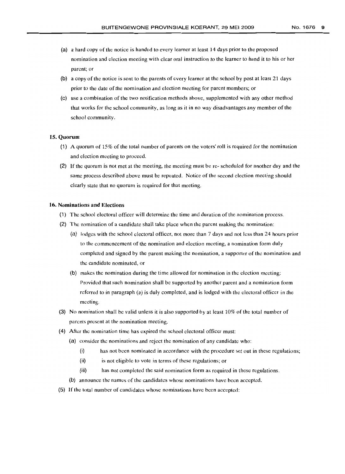- (a) a hard copy of the notice is handed to every learner at least 14 days prior to the proposed nomination and election meeting with clear oral instruction to the learner to hand it to his or her parent; or
- (b) a copy of the notice is sent to the parents of every learner at the school by post at least 21 days prior to the date of the nomination and election meeting for parent members; or
- (c) use a combination of the two notification methods above, supplemented with any other method that works for the school community, as long as it in no way disadvantages any member of the school community.

### 15. **Quorum**

- (1) A quorum of 15% of the total number of parents on the voters' roll is required for the nomination and election meeting to proceed.
- (2) If the quorum is not met at the meeting, the meeting must be re- scheduled for another day and the same process described above must be repeated. Notice of the second election meeting should clearly state that no quorum is required for that meeting.

#### 16. Nominations **and** Elections

- (1) The school electoral officer will determine the time and duration of the nomination process.
- (2) The nomination of a candidate shall take place when the parent making the nomination:
	- (a) lodges with the school electoral officer, not more than 7 days and not less than 24 hours prior to the commencement of the nomination and election meeting, a nomination form duly completed and signed by the parent making the nomination, a supporter of the nomination and the candidate nominated, or
	- (b) makes the nomination during the time allowed for nomination in the election meeting: Provided that such nomination shall be supported by another parent and a nomination form referred to in paragraph (a) is duly completed, and is lodged with the electoral officer in the meeting.
- (3) No nomination shall be valid unless it is also supported by at least 10% of the total number of parents present at the nomination meeting.
- (4) After the nomination time has expired the school electoral officer must:
	- (a) consider the nominations and reject the nomination of any candidate who:
		- (i) has not been nominated in accordance with the procedure set out in these regulations;
		- (ii) is not eligible to vote in terms of these regulations; or
		- (iii) has not completed the said nomination form as required in these regulations.
	- (b) announce the names of the candidates whose nominations have been accepted.
- (5) If the total number of candidates whose nominations have been accepted: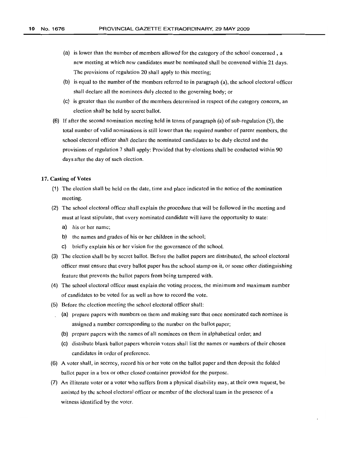- (a) is lower than the number of members allowed for the category of the school concerned, a new meeting at which new candidates must be nominated shall be convened within 21 days. The provisions of regulation 20 shall apply to this meeting;
- (b) is equal to the number of the members referred to in paragraph (a), the school electoral officer shall declare all the nominees duly elected to the governing body; or
- (c) is greater than the number of the members determined in respect of the category concern, an election shall be held by secret ballot.
- (6) If after the second nomination meeting held in terms of paragraph (a) of sub-regulation (5), the total number of valid nominations is still lower than the required number of parent members, the school electoral officer shall declare the nominated candidates to be duly elected and the provisions of regulation 7 shall apply: Provided that by-elections shall be conducted within 90 days after the day of such election.

## 17. Casting of Votes

- (1) The election shall be held on the date, time and place indicated in the notice of the nomination meeting.
- (2) The school electoral officer shall explain the procedure that will be followed in the meeting and must at least stipulate, that every nominated candidate will have the opportunity to state:
	- a) his or her name;
	- b) the names and grades of his or her children in the school;
	- c) briefly explain his or her vision for the governance of the school.
- (3) The election shall be by secret ballot. Before the ballot papers are distributed, the school electoral officer must ensure that every ballot paper has the school stamp on it, or some other distinguishing feature that prevents the ballot papers from being tampered with.
- (4) The school electoral officer must explain the voting process, the minimum and maximum number of candidates to be voted for as well as how to record the vote.
- (5) Before the election meeting the school electoral officer shall:
	- (a) prepare papers with numbers on them and making sure that once nominated each nominee is assigned a number corresponding to the number on the ballot paper;
	- (b) prepare papers with the names of all nominees on them in alphabetical order; and
	- (c) distribute blank ballot papers wherein voters shall list the names or numbers of their chosen candidates in order of preference.
- (6) A voter shall, in secrecy, record his or her vote on the ballot paper and then deposit the folded ballot paper in a box or other closed container provided for the purpose.
- (7) An illiterate voter or a voter who suffers from a physical disability may, at their own request, be assisted by the school electoral officer or member of the electoral team in the presence of a witness identified by the voter.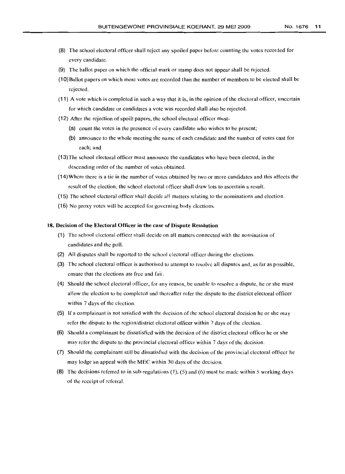- (8) The school electoral officer shall reject any spoiled paper before counting the votes recorded for every candidate.
- (9) The ballot paper on which the official mark or stamp docs not appear shall be rejected.
- (10) Ballot papers on which more votes are recorded than the number of members to be elected shall be rejected.
- (11) A vote which is completed in such a way that it is, in the opinion of the electoral officer, uncertain for which candidate or candidates a vote was recorded shall also be rejected.
- (12) After the rejection of spoilt papers, the school electoral officer must-
	- (a) count the votes in the presence of every candidate who wishes to be present;
	- (b) announce to the whole meeting the name of each candidate and the number of votes cast for each; and
- (13)Thc school electoral officer must announce the candidates who have been elected, in the descending order of the number of votes obtained.
- (14)Where there is a tic in the number of votes obtained by two or more candidates and this affects the result of the election, the school electoral officer shall draw lots to ascertain a result.
- (15) The school electoral officer shall decide all matters relating to the nominations and election.
- (16) No proxy votes will be accepted for governing body elections.

# 18. Decision of the Electoral Officer **in** the case of Dispute Resolution

- (1) The school electoral officer shall decide on all matters connected with the nomination of candidates and the poll.
- (2) All disputes shall be reported to the school electoral officer during the elections.
- (3) The school electoral officer is authorised to attempt to resolve all disputes and, as far as possible, ensure that the elections are free and fair.
- (4) Should the school electoral officer, for any reason, be unable to resolve a dispute, he or she must allow the election to be completed and thereafter refer the dispute to the district electoral officer within 7 days of the election.
- (5) If a complainant is not satisfied with the decision of the school electoral decision he or she may refer the dispute to the region/district electoral officer within 7 days of the election.
- (6) Should a complainant be dissatisfied with the decision of the district electoral officer he or she may refer the dispute to the provincial electoral officer within 7 days of the decision.
- (7) Should the complainant still be dissatisfied with the decision of the provincial electoral officer he may lodge an appeal with the MEC within 30 days of the decision.
- (8) The decisions referred to in sub-regulations (1), (5) and (6) must be made within 5 working days of the receipt of referral.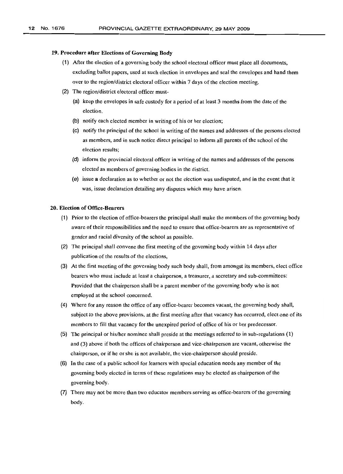## 19. Procedure after Elections of Governing Body

- (1) After the election of a governing body the school electoral officer must place all documents, excluding ballot papers, used at such election in envelopes and seal the envelopes and hand them over to the region/district electoral officer within 7 days of the election meeting.
- (2) The region/district electoral officer must-
	- (a) keep the envelopes in safe custody for a period of at least 3 months from the date of the election.
	- (b) notify each elected member in writing of his or her election;
	- (c) notify the principal of the school in writing of the names and addresses of the persons elected as members, and in such notice direct principal to inform all parents of the school of the election results;
	- (d) inform the provincial electoral officer in writing of the names and addresses of the persons elected as members of governing bodies in the district.
	- (e) issue a declaration as to whether or not the election was undisputed, and in the event that it was, issue declaration detailing any disputes which may have arisen.

# 20. Election of Office-Bearers

- (1) Prior to the election of office-bearers the principal shall make the members of the governing body aware of their responsibilities and the need to ensure that office-bearers are as representative of gender and racial diversity of the school as possible.
- (2) The principal shall convene the first meeting of the governing body within 14 days after publication of the results of the elections,
- (3) At the first meeting of the governing body such body shall, from amongst its members, elect office bearers who must include at least a chairperson, a treasurer, a secretary and sub-committees: Provided that the chairperson shall be a parent member of the governing body who is not employed at the school concerned.
- (4) Where for any reason the office of any office-bearer becomes vacant, the governing body shall, subject to the above provisions, at the first meeting after that vacancy has occurred, elect one of its members to fill that vacancy for the unexpired period of office of his or her predecessor.
- (5) The principal or his/her nominee shall preside at the meetings referred to in sub-regulations (1) and (3) above if both the offices of chairperson and vice-chairperson are vacant, otherwise the chairperson, or if he or she is not available, the vice-chairperson should preside.
- (6) In the case of a public school for learners with special education needs any member of the governing body elected in terms of these regulations may be elected as chairperson of the governing body.
- (7) There may not be more than two educator members serving as office-bearers of the governing body.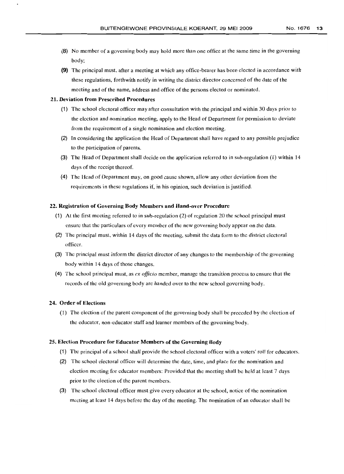- 
- (8) No member of a governing body may hold more than one office at the same time in the governing body;
- (9) The principal must. after a meeting at which any office-bearer has been elected in accordance with these regulations, forthwith notify in writing the district director concerned of the date of the meeting and of the name, address and office of the persons elected or nominated.

# 21. Deviation from Prescribed Procedures

- (1) The school electoral officer may after consultation with the principal and within 30 days prior to the election and nomination meeting, apply to the Head of Department for permission to deviate from the requirement of a single nomination and election meeting.
- (2) In considering the application the Head of Department shall have regard to any possible prejudice to the participation of parents.
- (3) The Head of Department shall decide on the application referred to in sub-regulation (1) within 14 days of the receipt thereof.
- (4) The Head of Department may, on good cause shown, allow any other deviation from the requirements in these regulations if, in his opinion, such deviation is justified.

# 22. Registration of Governing Body Members and Hand-over Procedure

- (1) At the first meeting referred to in sub-regulation (2) of regulation 20 the school principal must ensure that the particulars of every member of the new governing body appear on the data.
- (2) The principal must. within 14 days of the meeting, submit the data form to the district electoral officer.
- (3) The principal must inform the district director of any changes to the membership of the governing body within 14 days of those changes.
- (4) The school principal must, as *ex officio* member, manage the transition process to ensure that the records of the old governing body are handed over to the new school governing body.

## 24. Order of Elections

(1) The election of the parent component of the governing body shall be preceded by the election of the educator, non-educator staff and learner members of the governing body.

## 25. Election Procedure for Educator Members of the Governing Body

- (1) The principal of a school shall provide the school electoral officer with a voters' roll for educators.
- (2) The school electoral officer will determine the date, time, and place for the nomination and election meeting for educator members: Provided that the meeting shall be held at least 7 days prior to the election of the parent members.
- (3) The school electoral officer must give every educator at the school, notice of the nomination meeting at least 14 days before the day of the meeting. The nomination of an educator shall be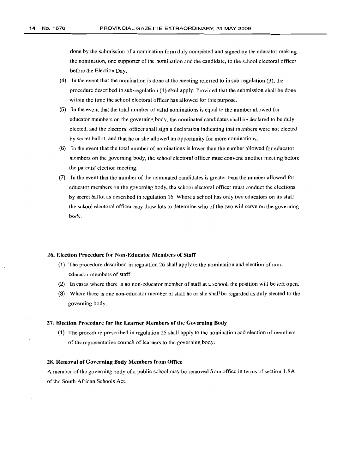done by the submission of a nomination form duly completed and signed by the educator making the nomination, one supporter of the nomination and the candidate, to the school electoral officer before the Election Day.

- (4) In the event that the nomination is done at the meeting referred to in sub-regulation (3), the procedure described in sub-regulation (4) shall apply: Provided that the submission shall be done within the time the school electoral officer has allowed for this purpose.
- (5) In the event that the total number of valid nominations is equal to the number allowed for educator members on the governing body, the nominated candidates shall be declared to be duly elected, and the electoral officer shall sign a declaration indicating that members were not elected by secret ballot, and that he or she allowed an opportunity for more nominations.
- (6) In the event that the total number of nominations is lower than the number allowed for educator members on the governing body, the school electoral officer must convene another meeting before the parents' election meeting.
- (7) In the event that the number of the nominated candidates is greater than the number allowed for educator members on the governing body, the school electoral officer must conduct the elections by secret ballot as described in regulation 16. Where a school has only two educators on its staff the school electoral officer may draw lots to determine who of the two will serve on the governing body.

## 26. Election Procedure for Non-Educator Members of Staff

- (1) The procedure described in regulation 26 shall apply to the nomination and election of noneducator members of staff:
- (2) In cases where there is no non-educator member of staff at a school, the position will be left open.
- (3) Where there is one non-educator member of staff he or she shall be regarded as duly elected to the governing body.

## 27. Election Procedure for the Learner Members of the Governing Body

(1) The procedure prescribed in regulation 25 shall apply to the nomination and election of members of the representative council of learners to the governing body:

## 28. Removal of Governing Body Members from Office

A member of the governing body of a public school may be removed from office in terms of section 1.8A of the South African Schools Act.